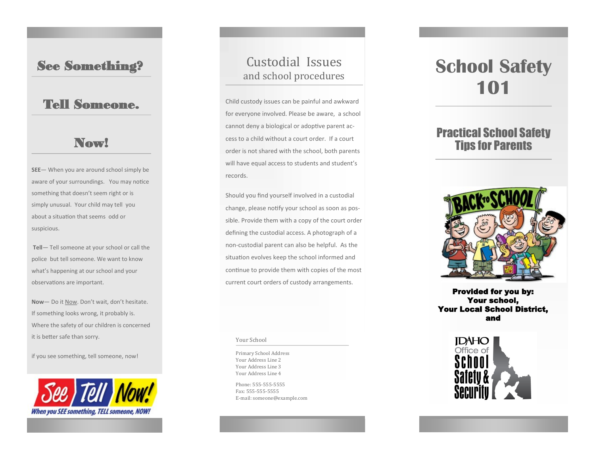#### See Something?

## Tell Someone.

### Now!

**SEE**— When you are around school simply be aware of your surroundings. You may notice something that doesn't seem right or is simply unusual. Your child may tell you about a situation that seems odd or suspicious.

**Tell**— Tell someone at your school or call the police but tell someone. We want to know what's happening at our school and your observations are important.

**Now**— Do it Now. Don't wait, don't hesitate. If something looks wrong, it probably is. Where the safety of our children is concerned it is better safe than sorry.

if you see something, tell someone, now!



# Custodial Issues and school procedures

Child custody issues can be painful and awkward for everyone involved. Please be aware, a school cannot deny a biological or adoptive parent access to a child without a court order. If a court order is not shared with the school, both parents will have equal access to students and student's records.

Should you find yourself involved in a custodial change, please notify your school as soon as possible. Provide them with a copy of the court order defining the custodial access. A photograph of a non-custodial parent can also be helpful. As the situation evolves keep the school informed and continue to provide them with copies of the most current court orders of custody arrangements.

#### Your School

Primary School Address Your Address Line 2 Your Address Line 3 Your Address Line 4

Phone: 555-555-5555 Fax: 555-555-5555 E-mail: someone@example.com

# **School Safety 101**

## Practical School Safety Tips for Parents



Provided for you by: Your school, Your Local School District, and